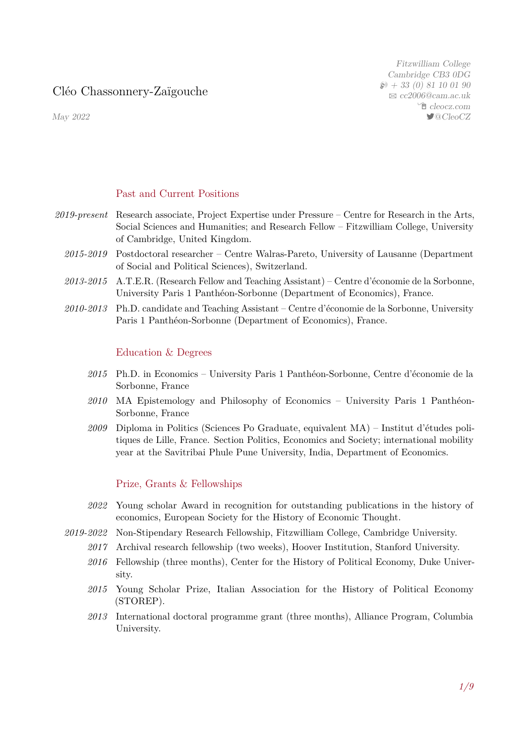# Cléo Chassonnery-Zaïgouche

May 2022

Fitzwilliam College Cambridge CB3 0DG  $\wp$  + 33 (0) 81 10 01 90 B [cc2006@cam.ac.uk](mailto:cc2006@cam.ac.uk) Í [cleocz.com](https://cleocz.com) 7@CleoCZ

#### Past and Current Positions

- *2019-present* Research associate, Project Expertise under Pressure Centre for Research in the Arts, Social Sciences and Humanities; and Research Fellow – Fitzwilliam College, University of Cambridge, United Kingdom.
	- *2015-2019* Postdoctoral researcher Centre Walras-Pareto, University of Lausanne (Department of Social and Political Sciences), Switzerland.
	- *2013-2015* A.T.E.R. (Research Fellow and Teaching Assistant) Centre d'économie de la Sorbonne, University Paris 1 Panthéon-Sorbonne (Department of Economics), France.
	- *2010-2013* Ph.D. candidate and Teaching Assistant Centre d'économie de la Sorbonne, University Paris 1 Panthéon-Sorbonne (Department of Economics), France.

#### Education & Degrees

- *2015* Ph.D. in Economics University Paris 1 Panthéon-Sorbonne, Centre d'économie de la Sorbonne, France
- *2010* MA Epistemology and Philosophy of Economics University Paris 1 Panthéon-Sorbonne, France
- *2009* Diploma in Politics (Sciences Po Graduate, equivalent MA) Institut d'études politiques de Lille, France. Section Politics, Economics and Society; international mobility year at the Savitribai Phule Pune University, India, Department of Economics.

### Prize, Grants & Fellowships

- *2022* Young scholar Award in recognition for outstanding publications in the history of economics, European Society for the History of Economic Thought.
- *2019-2022* Non-Stipendary Research Fellowship, Fitzwilliam College, Cambridge University.
	- *2017* Archival research fellowship (two weeks), Hoover Institution, Stanford University.
	- 2016 Fellowship (three months), Center for the History of Political Economy, Duke University.
	- *2015* Young Scholar Prize, Italian Association for the History of Political Economy (STOREP).
	- *2013* International doctoral programme grant (three months), Alliance Program, Columbia University.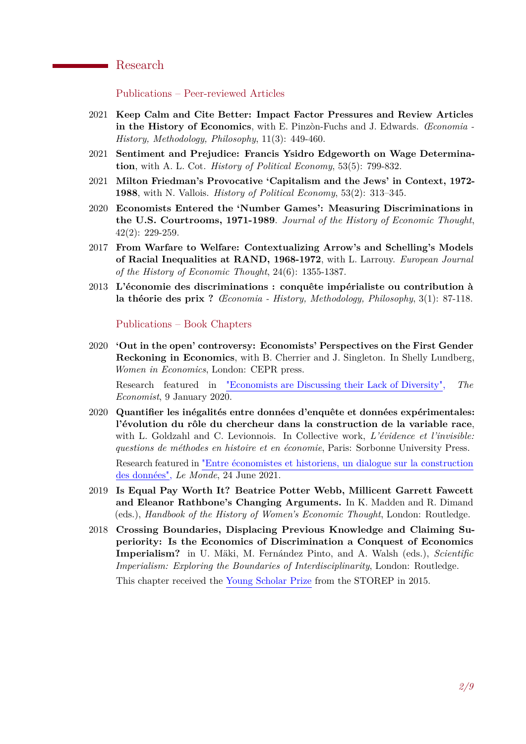## Research

Publications – Peer-reviewed Articles

- 2021 **Keep Calm and Cite Better: Impact Factor Pressures and Review Articles in the History of Economics**, with E. Pinzòn-Fuchs and J. Edwards. *Œconomia - History, Methodology, Philosophy*, 11(3): 449-460.
- 2021 **Sentiment and Prejudice: Francis Ysidro Edgeworth on Wage Determination**, with A. L. Cot. *History of Political Economy*, 53(5): 799-832.
- 2021 **Milton Friedman's Provocative 'Capitalism and the Jews' in Context, 1972- 1988**, with N. Vallois. *History of Political Economy*, 53(2): 313–345.
- 2020 **Economists Entered the 'Number Games': Measuring Discriminations in the U.S. Courtrooms, 1971-1989**. *Journal of the History of Economic Thought*, 42(2): 229-259.
- 2017 **From Warfare to Welfare: Contextualizing Arrow's and Schelling's Models of Racial Inequalities at RAND, 1968-1972**, with L. Larrouy. *European Journal of the History of Economic Thought*, 24(6): 1355-1387.
- 2013 **L'économie des discriminations : conquête impérialiste ou contribution à la théorie des prix ?** *Œconomia - History, Methodology, Philosophy*, 3(1): 87-118.

Publications – Book Chapters

2020 **'Out in the open' controversy: Economists' Perspectives on the First Gender Reckoning in Economics**, with B. Cherrier and J. Singleton. In Shelly Lundberg, *Women in Economics*, London: CEPR press.

Research featured in ["Economists are Discussing their Lack of Diversity",](https://www.economist.com/finance-and-economics/2020/01/09/economists-are-discussing-their-lack-of-diversity?fbclid=IwAR1aLvu9RlMqRh9eH9Gjdsbs3GiVjsgzhdfGwkoRwKDdPz3HBKOqHaQAt2w) *The Economist*, 9 January 2020.

- 2020 **Quantifier les inégalités entre données d'enquête et données expérimentales: l'évolution du rôle du chercheur dans la construction de la variable race**, with L. Goldzahl and C. Levionnois. In Collective work, *L'évidence et l'invisible: questions de méthodes en histoire et en économie*, Paris: Sorbonne University Press. Research featured in ["Entre économistes et historiens, un dialogue sur la construction](https://bit.ly/3KRwbNB) [des données",](https://bit.ly/3KRwbNB) *Le Monde*, 24 June 2021.
- 2019 **Is Equal Pay Worth It? Beatrice Potter Webb, Millicent Garrett Fawcett and Eleanor Rathbone's Changing Arguments.** In K. Madden and R. Dimand (eds.), *Handbook of the History of Women's Economic Thought*, London: Routledge.
- 2018 **Crossing Boundaries, Displacing Previous Knowledge and Claiming Superiority: Is the Economics of Discrimination a Conquest of Economics Imperialism?** in U. Mäki, M. Fernández Pinto, and A. Walsh (eds.), *Scientific Imperialism: Exploring the Boundaries of Interdisciplinarity*, London: Routledge.

This chapter received the [Young Scholar Prize](http://www.storep.org/wp/en/premio-giovani-storep-2015/) from the STOREP in 2015.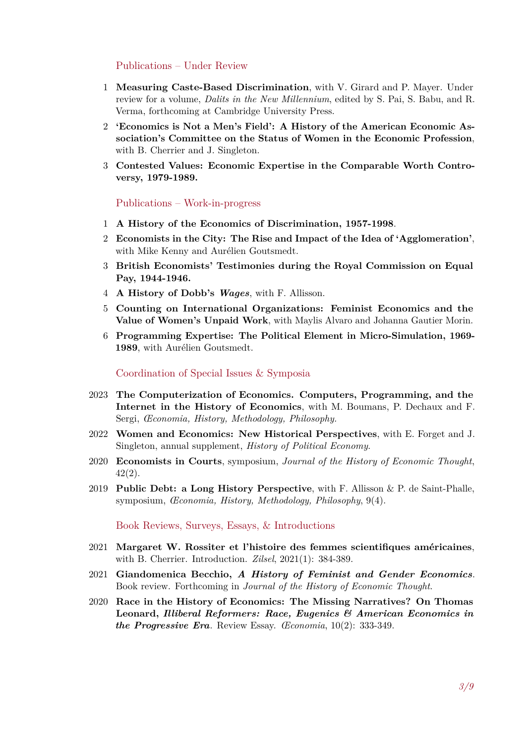Publications – Under Review

- 1 **Measuring Caste-Based Discrimination**, with V. Girard and P. Mayer. Under review for a volume, *Dalits in the New Millennium*, edited by S. Pai, S. Babu, and R. Verma, forthcoming at Cambridge University Press.
- 2 **'Economics is Not a Men's Field': A History of the American Economic Association's Committee on the Status of Women in the Economic Profession**, with B. Cherrier and J. Singleton.
- 3 **Contested Values: Economic Expertise in the Comparable Worth Controversy, 1979-1989.**

Publications – Work-in-progress

- 1 **A History of the Economics of Discrimination, 1957-1998**.
- 2 **Economists in the City: The Rise and Impact of the Idea of 'Agglomeration'**, with Mike Kenny and Aurélien Goutsmedt.
- 3 **British Economists' Testimonies during the Royal Commission on Equal Pay, 1944-1946.**
- 4 **A History of Dobb's** *Wages*, with F. Allisson.
- 5 **Counting on International Organizations: Feminist Economics and the Value of Women's Unpaid Work**, with Maylis Alvaro and Johanna Gautier Morin.
- 6 **Programming Expertise: The Political Element in Micro-Simulation, 1969- 1989**, with Aurélien Goutsmedt.

Coordination of Special Issues & Symposia

- 2023 **The Computerization of Economics. Computers, Programming, and the Internet in the History of Economics**, with M. Boumans, P. Dechaux and F. Sergi, *Œconomia, History, Methodology, Philosophy.*
- 2022 **Women and Economics: New Historical Perspectives**, with E. Forget and J. Singleton, annual supplement, *History of Political Economy*.
- 2020 **Economists in Courts**, symposium, *Journal of the History of Economic Thought*, 42(2).
- 2019 **Public Debt: a Long History Perspective**, with F. Allisson & P. de Saint-Phalle, symposium, *Œconomia, History, Methodology, Philosophy*, 9(4).

Book Reviews, Surveys, Essays, & Introductions

- 2021 **Margaret W. Rossiter et l'histoire des femmes scientifiques américaines**, with B. Cherrier. Introduction. *Zilsel*, 2021(1): 384-389.
- 2021 **Giandomenica Becchio,** *A History of Feminist and Gender Economics*. Book review. Forthcoming in *Journal of the History of Economic Thought*.
- 2020 **Race in the History of Economics: The Missing Narratives? On Thomas Leonard,** *Illiberal Reformers: Race, Eugenics & American Economics in the Progressive Era*. Review Essay. *Œconomia*, 10(2): 333-349.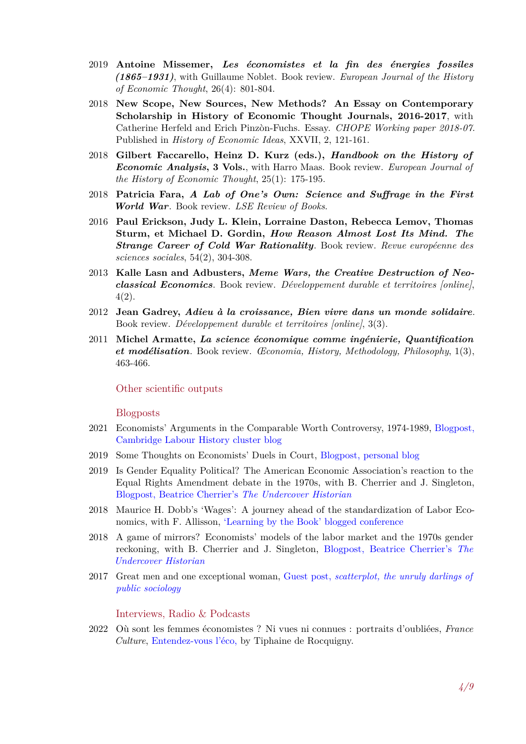- 2019 **Antoine Missemer,** *Les économistes et la fin des énergies fossiles (1865–1931)*, with Guillaume Noblet. Book review. *European Journal of the History of Economic Thought*, 26(4): 801-804.
- 2018 **New Scope, New Sources, New Methods? An Essay on Contemporary Scholarship in History of Economic Thought Journals, 2016-2017**, with Catherine Herfeld and Erich Pinzòn-Fuchs. Essay. *CHOPE Working paper 2018-07*. Published in *History of Economic Ideas*, XXVII, 2, 121-161.
- 2018 **Gilbert Faccarello, Heinz D. Kurz (eds.),** *Handbook on the History of Economic Analysis***, 3 Vols.**, with Harro Maas. Book review. *European Journal of the History of Economic Thought*, 25(1): 175-195.
- 2018 **Patricia Fara,** *A Lab of One's Own: Science and Suffrage in the First World War*. Book review. *LSE Review of Books*.
- 2016 **Paul Erickson, Judy L. Klein, Lorraine Daston, Rebecca Lemov, Thomas Sturm, et Michael D. Gordin,** *How Reason Almost Lost Its Mind. The Strange Career of Cold War Rationality*. Book review. *Revue européenne des sciences sociales*, 54(2), 304-308.
- 2013 **Kalle Lasn and Adbusters,** *Meme Wars, the Creative Destruction of Neoclassical Economics*. Book review. *Développement durable et territoires [online]*, 4(2).
- 2012 **Jean Gadrey,** *Adieu à la croissance, Bien vivre dans un monde solidaire*. Book review. *Développement durable et territoires [online]*, 3(3).
- 2011 **Michel Armatte,** *La science économique comme ingénierie, Quantification et modélisation*. Book review. *Œconomia, History, Methodology, Philosophy*, 1(3), 463-466.

#### Other scientific outputs

#### Blogposts

- 2021 Economists' Arguments in the Comparable Worth Controversy, 1974-1989, [Blogpost,](https://www.hist.cam.ac.uk/economists-arguments-comparable-worth-controversy-1974-89) [Cambridge Labour History cluster blog](https://www.hist.cam.ac.uk/economists-arguments-comparable-worth-controversy-1974-89)
- 2019 Some Thoughts on Economists' Duels in Court, [Blogpost, personal blog](https://cleocz.com/2019/01/16/some-thoughts-on-economists-duels-in-court/)
- 2019 Is Gender Equality Political? The American Economic Association's reaction to the Equal Rights Amendment debate in the 1970s, with B. Cherrier and J. Singleton, [Blogpost, Beatrice Cherrier's](https://beatricecherrier.wordpress.com/2019/01/11/is-gender-equality-political-the-american-economic-associations-reaction-to-the-equal-rights-amendment-debate-in-the-1970s/) *The Undercover Historian*
- 2018 Maurice H. Dobb's 'Wages': A journey ahead of the standardization of Labor Economics, with F. Allisson, ['Learning by the Book' blogged conference](https://historyofknowledge.net/2018/05/29/maurice-h-dobbs-wages/)
- 2018 A game of mirrors? Economists' models of the labor market and the 1970s gender reckoning, with B. Cherrier and J. Singleton, [Blogpost, Beatrice Cherrier's](https://beatricecherrier.wordpress.com/2018/03/06/a-game-of-mirrors-economists-models-of-the-labor-market-and-the-1970s-gender-reckoning/) *The [Undercover Historian](https://beatricecherrier.wordpress.com/2018/03/06/a-game-of-mirrors-economists-models-of-the-labor-market-and-the-1970s-gender-reckoning/)*
- 2017 Great men and one exceptional woman, Guest post, *[scatterplot, the unruly darlings of](https://scatter.wordpress.com/2017/09/26/guest-post-great-men-and-one-exceptional-woman/) [public sociology](https://scatter.wordpress.com/2017/09/26/guest-post-great-men-and-one-exceptional-woman/)*

#### Interviews, Radio & Podcasts

2022 Où sont les femmes économistes ? Ni vues ni connues : portraits d'oubliées, *France Culture*, [Entendez-vous l'éco,](https://www.radiofrance.fr/franceculture/podcasts/entendez-vous-l-eco/ni-vues-ni-connues-portraits-d-oubliees-9339598) by Tiphaine de Rocquigny.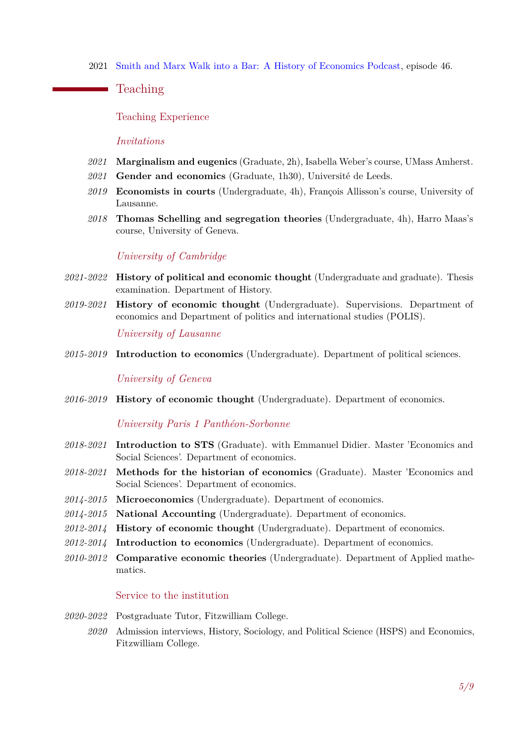2021 Smith and Marx Walk into a Bar: A History of Economics Podcast, episode 46.

**Teaching** 

Teaching Experience

*Invitations*

- *2021* **Marginalism and eugenics** (Graduate, 2h), Isabella Weber's course, UMass Amherst.
- *2021* **Gender and economics** (Graduate, 1h30), Université de Leeds.
- *2019* **Economists in courts** (Undergraduate, 4h), François Allisson's course, University of Lausanne.
- *2018* **Thomas Schelling and segregation theories** (Undergraduate, 4h), Harro Maas's course, University of Geneva.

*University of Cambridge*

- *2021-2022* **History of political and economic thought** (Undergraduate and graduate). Thesis examination. Department of History.
- *2019-2021* **History of economic thought** (Undergraduate). Supervisions. Department of economics and Department of politics and international studies (POLIS).

*University of Lausanne*

*2015-2019* **Introduction to economics** (Undergraduate). Department of political sciences.

*University of Geneva*

*2016-2019* **History of economic thought** (Undergraduate). Department of economics.

#### *University Paris 1 Panthéon-Sorbonne*

- *2018-2021* **Introduction to STS** (Graduate). with Emmanuel Didier. Master 'Economics and Social Sciences'. Department of economics.
- *2018-2021* **Methods for the historian of economics** (Graduate). Master 'Economics and Social Sciences'. Department of economics.
- *2014-2015* **Microeconomics** (Undergraduate). Department of economics.
- *2014-2015* **National Accounting** (Undergraduate). Department of economics.
- *2012-2014* **History of economic thought** (Undergraduate). Department of economics.
- *2012-2014* **Introduction to economics** (Undergraduate). Department of economics.
- *2010-2012* **Comparative economic theories** (Undergraduate). Department of Applied mathematics.

#### Service to the institution

- *2020-2022* Postgraduate Tutor, Fitzwilliam College.
	- *2020* Admission interviews, History, Sociology, and Political Science (HSPS) and Economics, Fitzwilliam College.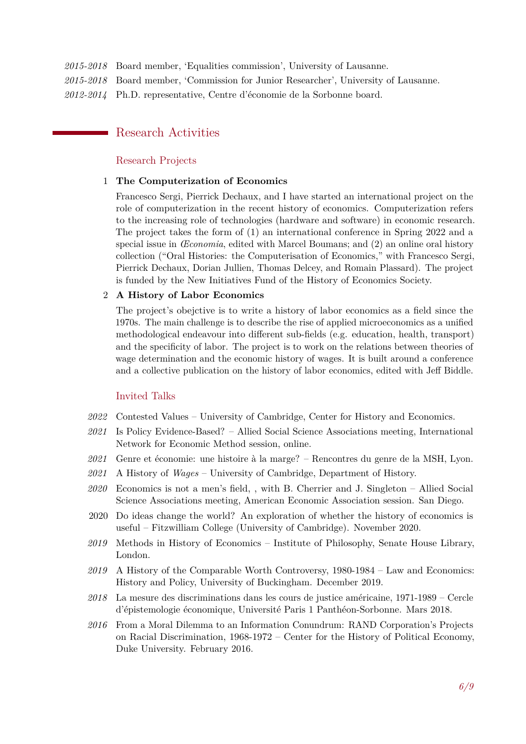- *2015-2018* Board member, 'Equalities commission', University of Lausanne.
- *2015-2018* Board member, 'Commission for Junior Researcher', University of Lausanne.

*2012-2014* Ph.D. representative, Centre d'économie de la Sorbonne board.

# Research Activities

#### Research Projects

#### 1 **The Computerization of Economics**

Francesco Sergi, Pierrick Dechaux, and I have started an international project on the role of computerization in the recent history of economics. Computerization refers to the increasing role of technologies (hardware and software) in economic research. The project takes the form of (1) an international conference in Spring 2022 and a special issue in *Œconomia*, edited with Marcel Boumans; and (2) an online oral history collection ("Oral Histories: the Computerisation of Economics," with Francesco Sergi, Pierrick Dechaux, Dorian Jullien, Thomas Delcey, and Romain Plassard). The project is funded by the New Initiatives Fund of the History of Economics Society.

#### 2 **A History of Labor Economics**

The project's obejctive is to write a history of labor economics as a field since the 1970s. The main challenge is to describe the rise of applied microeconomics as a unified methodological endeavour into different sub-fields (e.g. education, health, transport) and the specificity of labor. The project is to work on the relations between theories of wage determination and the economic history of wages. It is built around a conference and a collective publication on the history of labor economics, edited with Jeff Biddle.

#### Invited Talks

- *2022* Contested Values University of Cambridge, Center for History and Economics.
- *2021* Is Policy Evidence-Based? Allied Social Science Associations meeting, International Network for Economic Method session, online.
- *2021* Genre et économie: une histoire à la marge? Rencontres du genre de la MSH, Lyon.
- *2021* A History of *Wages* University of Cambridge, Department of History.
- *2020* Economics is not a men's field, , with B. Cherrier and J. Singleton Allied Social Science Associations meeting, American Economic Association session. San Diego.
- 2020 Do ideas change the world? An exploration of whether the history of economics is useful – Fitzwilliam College (University of Cambridge). November 2020.
- *2019* Methods in History of Economics Institute of Philosophy, Senate House Library, London.
- *2019* A History of the Comparable Worth Controversy, 1980-1984 Law and Economics: History and Policy, University of Buckingham. December 2019.
- *2018* La mesure des discriminations dans les cours de justice américaine, 1971-1989 Cercle d'épistemologie économique, Université Paris 1 Panthéon-Sorbonne. Mars 2018.
- *2016* From a Moral Dilemma to an Information Conundrum: RAND Corporation's Projects on Racial Discrimination, 1968-1972 – Center for the History of Political Economy, Duke University. February 2016.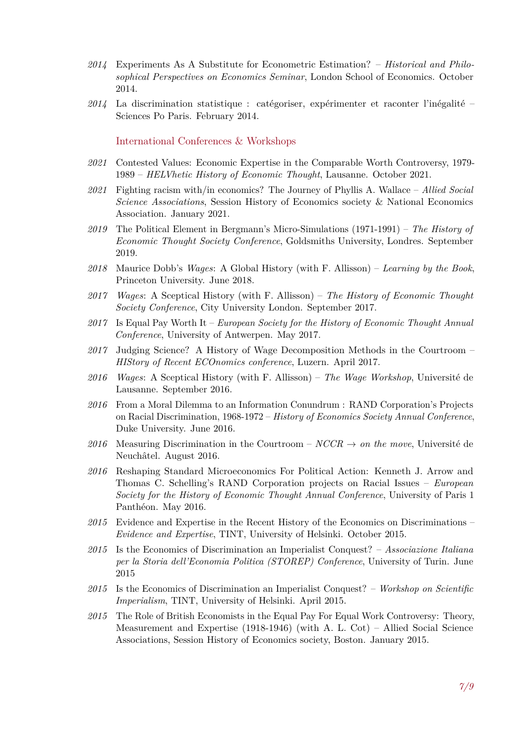- *2014* Experiments As A Substitute for Econometric Estimation? *Historical and Philosophical Perspectives on Economics Seminar*, London School of Economics. October 2014.
- *2014* La discrimination statistique : catégoriser, expérimenter et raconter l'inégalité Sciences Po Paris. February 2014.

International Conferences & Workshops

- *2021* Contested Values: Economic Expertise in the Comparable Worth Controversy, 1979- 1989 – *HELVhetic History of Economic Thought*, Lausanne. October 2021.
- *2021* Fighting racism with/in economics? The Journey of Phyllis A. Wallace *Allied Social Science Associations*, Session History of Economics society & National Economics Association. January 2021.
- *2019* The Political Element in Bergmann's Micro-Simulations (1971-1991) *The History of Economic Thought Society Conference*, Goldsmiths University, Londres. September 2019.
- *2018* Maurice Dobb's *Wages*: A Global History (with F. Allisson) *Learning by the Book*, Princeton University. June 2018.
- *2017 Wages*: A Sceptical History (with F. Allisson) *The History of Economic Thought Society Conference*, City University London. September 2017.
- *2017* Is Equal Pay Worth It *European Society for the History of Economic Thought Annual Conference*, University of Antwerpen. May 2017.
- *2017* Judging Science? A History of Wage Decomposition Methods in the Courtroom *HIStory of Recent ECOnomics conference*, Luzern. April 2017.
- *2016 Wages*: A Sceptical History (with F. Allisson) *The Wage Workshop*, Université de Lausanne. September 2016.
- *2016* From a Moral Dilemma to an Information Conundrum : RAND Corporation's Projects on Racial Discrimination, 1968-1972 – *History of Economics Society Annual Conference*, Duke University. June 2016.
- 2016 Measuring Discrimination in the Courtroom  $NCCR \rightarrow on$  the move, Université de Neuchâtel. August 2016.
- *2016* Reshaping Standard Microeconomics For Political Action: Kenneth J. Arrow and Thomas C. Schelling's RAND Corporation projects on Racial Issues – *European Society for the History of Economic Thought Annual Conference*, University of Paris 1 Panthéon. May 2016.
- *2015* Evidence and Expertise in the Recent History of the Economics on Discriminations *Evidence and Expertise*, TINT, University of Helsinki. October 2015.
- *2015* Is the Economics of Discrimination an Imperialist Conquest? *Associazione Italiana per la Storia dell'Economia Politica (STOREP) Conference*, University of Turin. June 2015
- *2015* Is the Economics of Discrimination an Imperialist Conquest? *Workshop on Scientific Imperialism*, TINT, University of Helsinki. April 2015.
- *2015* The Role of British Economists in the Equal Pay For Equal Work Controversy: Theory, Measurement and Expertise (1918-1946) (with A. L. Cot) – Allied Social Science Associations, Session History of Economics society, Boston. January 2015.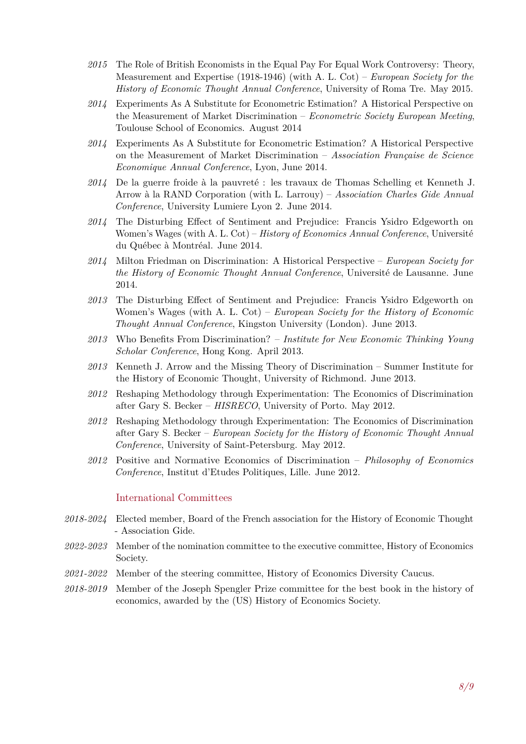- *2015* The Role of British Economists in the Equal Pay For Equal Work Controversy: Theory, Measurement and Expertise (1918-1946) (with A. L. Cot) – *European Society for the History of Economic Thought Annual Conference*, University of Roma Tre. May 2015.
- *2014* Experiments As A Substitute for Econometric Estimation? A Historical Perspective on the Measurement of Market Discrimination – *Econometric Society European Meeting*, Toulouse School of Economics. August 2014
- *2014* Experiments As A Substitute for Econometric Estimation? A Historical Perspective on the Measurement of Market Discrimination – *Association Française de Science Economique Annual Conference*, Lyon, June 2014.
- *2014* De la guerre froide à la pauvreté : les travaux de Thomas Schelling et Kenneth J. Arrow à la RAND Corporation (with L. Larrouy) – *Association Charles Gide Annual Conference*, University Lumiere Lyon 2. June 2014.
- *2014* The Disturbing Effect of Sentiment and Prejudice: Francis Ysidro Edgeworth on Women's Wages (with A. L. Cot) – *History of Economics Annual Conference*, Université du Québec à Montréal. June 2014.
- *2014* Milton Friedman on Discrimination: A Historical Perspective *European Society for the History of Economic Thought Annual Conference*, Université de Lausanne. June 2014.
- *2013* The Disturbing Effect of Sentiment and Prejudice: Francis Ysidro Edgeworth on Women's Wages (with A. L. Cot) – *European Society for the History of Economic Thought Annual Conference*, Kingston University (London). June 2013.
- *2013* Who Benefits From Discrimination? *Institute for New Economic Thinking Young Scholar Conference*, Hong Kong. April 2013.
- *2013* Kenneth J. Arrow and the Missing Theory of Discrimination Summer Institute for the History of Economic Thought, University of Richmond. June 2013.
- *2012* Reshaping Methodology through Experimentation: The Economics of Discrimination after Gary S. Becker – *HISRECO*, University of Porto. May 2012.
- *2012* Reshaping Methodology through Experimentation: The Economics of Discrimination after Gary S. Becker – *European Society for the History of Economic Thought Annual Conference*, University of Saint-Petersburg. May 2012.
- *2012* Positive and Normative Economics of Discrimination *Philosophy of Economics Conference*, Institut d'Etudes Politiques, Lille. June 2012.

#### International Committees

- *2018-2024* Elected member, Board of the French association for the History of Economic Thought - Association Gide.
- *2022-2023* Member of the nomination committee to the executive committee, History of Economics Society.
- *2021-2022* Member of the steering committee, History of Economics Diversity Caucus.
- *2018-2019* Member of the Joseph Spengler Prize committee for the best book in the history of economics, awarded by the (US) History of Economics Society.